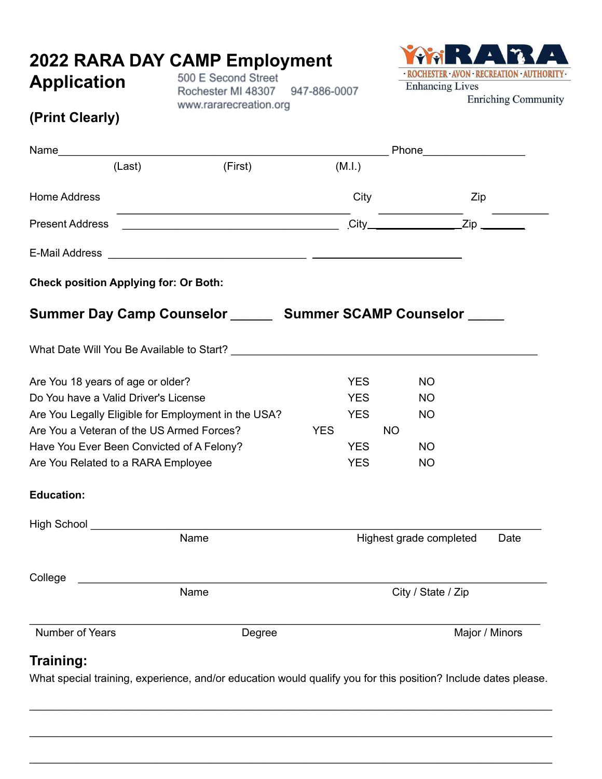## **2022 RARA DAY CAMP Employment**

## **Application**

500 E Second Street Rochester MI 48307 947-886-0007 www.rararecreation.org



**Enriching Community** 

## **(Print Clearly)**

| Name                                                                            | Phone___________________ |                                                                                                                                |
|---------------------------------------------------------------------------------|--------------------------|--------------------------------------------------------------------------------------------------------------------------------|
| (M.l.)                                                                          |                          |                                                                                                                                |
| City                                                                            |                          |                                                                                                                                |
| <u> 1989 - Johann John Stone, mars eta bainar eta mendeko erresa (h. 1989).</u> |                          |                                                                                                                                |
|                                                                                 |                          |                                                                                                                                |
|                                                                                 |                          |                                                                                                                                |
|                                                                                 |                          |                                                                                                                                |
|                                                                                 |                          |                                                                                                                                |
| <b>YES</b>                                                                      | <b>NO</b>                |                                                                                                                                |
| <b>YES</b>                                                                      | <b>NO</b>                |                                                                                                                                |
| <b>YES</b>                                                                      | <b>NO</b>                |                                                                                                                                |
| <b>YES</b>                                                                      | <b>NO</b>                |                                                                                                                                |
| <b>YES</b>                                                                      | <b>NO</b>                |                                                                                                                                |
| <b>YES</b>                                                                      | <b>NO</b>                |                                                                                                                                |
|                                                                                 |                          |                                                                                                                                |
|                                                                                 |                          |                                                                                                                                |
|                                                                                 |                          | Date                                                                                                                           |
|                                                                                 |                          |                                                                                                                                |
|                                                                                 | City / State / Zip       |                                                                                                                                |
|                                                                                 |                          | Major / Minors                                                                                                                 |
|                                                                                 |                          | Zip<br>$\text{City}$ $\text{Zip}$<br>Summer Day Camp Counselor _______ Summer SCAMP Counselor _____<br>Highest grade completed |

\_\_\_\_\_\_\_\_\_\_\_\_\_\_\_\_\_\_\_\_\_\_\_\_\_\_\_\_\_\_\_\_\_\_\_\_\_\_\_\_\_\_\_\_\_\_\_\_\_\_\_\_\_\_\_\_\_\_\_\_\_\_\_\_\_\_\_\_\_\_\_\_\_\_\_\_\_\_\_\_\_\_\_\_\_\_\_

\_\_\_\_\_\_\_\_\_\_\_\_\_\_\_\_\_\_\_\_\_\_\_\_\_\_\_\_\_\_\_\_\_\_\_\_\_\_\_\_\_\_\_\_\_\_\_\_\_\_\_\_\_\_\_\_\_\_\_\_\_\_\_\_\_\_\_\_\_\_\_\_\_\_\_\_\_\_\_\_\_\_\_\_\_\_\_

\_\_\_\_\_\_\_\_\_\_\_\_\_\_\_\_\_\_\_\_\_\_\_\_\_\_\_\_\_\_\_\_\_\_\_\_\_\_\_\_\_\_\_\_\_\_\_\_\_\_\_\_\_\_\_\_\_\_\_\_\_\_\_\_\_\_\_\_\_\_\_\_\_\_\_\_\_\_\_\_\_\_\_\_\_\_\_